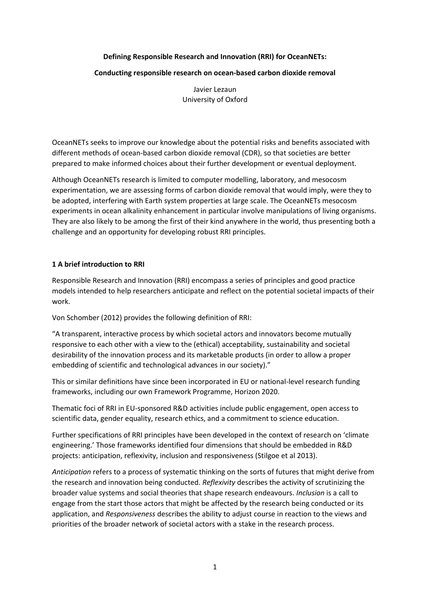### **Defining Responsible Research and Innovation (RRI) for OceanNETs:**

# **Conducting responsible research on ocean-based carbon dioxide removal**

Javier Lezaun University of Oxford

OceanNETs seeks to improve our knowledge about the potential risks and benefits associated with different methods of ocean-based carbon dioxide removal (CDR), so that societies are better prepared to make informed choices about their further development or eventual deployment.

Although OceanNETs research is limited to computer modelling, laboratory, and mesocosm experimentation, we are assessing forms of carbon dioxide removal that would imply, were they to be adopted, interfering with Earth system properties at large scale. The OceanNETs mesocosm experiments in ocean alkalinity enhancement in particular involve manipulations of living organisms. They are also likely to be among the first of their kind anywhere in the world, thus presenting both a challenge and an opportunity for developing robust RRI principles.

#### **1 A brief introduction to RRI**

Responsible Research and Innovation (RRI) encompass a series of principles and good practice models intended to help researchers anticipate and reflect on the potential societal impacts of their work.

Von Schomber (2012) provides the following definition of RRI:

"A transparent, interactive process by which societal actors and innovators become mutually responsive to each other with a view to the (ethical) acceptability, sustainability and societal desirability of the innovation process and its marketable products (in order to allow a proper embedding of scientific and technological advances in our society)."

This or similar definitions have since been incorporated in EU or national-level research funding frameworks, including our own Framework Programme, Horizon 2020.

Thematic foci of RRI in EU-sponsored R&D activities include public engagement, open access to scientific data, gender equality, research ethics, and a commitment to science education.

Further specifications of RRI principles have been developed in the context of research on 'climate engineering.' Those frameworks identified four dimensions that should be embedded in R&D projects: anticipation, reflexivity, inclusion and responsiveness (Stilgoe et al 2013).

*Anticipation* refers to a process of systematic thinking on the sorts of futures that might derive from the research and innovation being conducted. *Reflexivity* describes the activity of scrutinizing the broader value systems and social theories that shape research endeavours. *Inclusion* is a call to engage from the start those actors that might be affected by the research being conducted or its application, and *Responsiveness* describes the ability to adjust course in reaction to the views and priorities of the broader network of societal actors with a stake in the research process.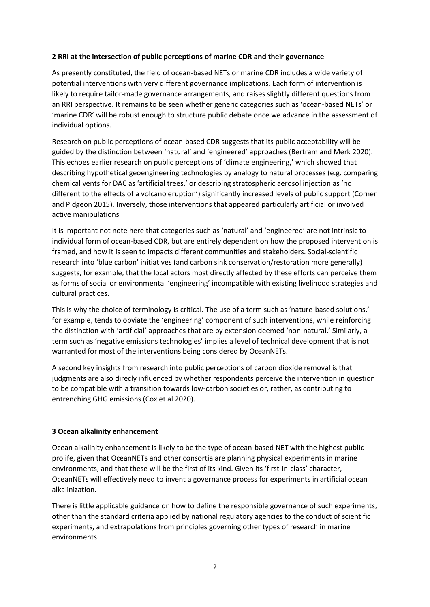### **2 RRI at the intersection of public perceptions of marine CDR and their governance**

As presently constituted, the field of ocean-based NETs or marine CDR includes a wide variety of potential interventions with very different governance implications. Each form of intervention is likely to require tailor-made governance arrangements, and raises slightly different questions from an RRI perspective. It remains to be seen whether generic categories such as 'ocean-based NETs' or 'marine CDR' will be robust enough to structure public debate once we advance in the assessment of individual options.

Research on public perceptions of ocean-based CDR suggests that its public acceptability will be guided by the distinction between 'natural' and 'engineered' approaches (Bertram and Merk 2020). This echoes earlier research on public perceptions of 'climate engineering,' which showed that describing hypothetical geoengineering technologies by analogy to natural processes (e.g. comparing chemical vents for DAC as 'artificial trees,' or describing stratospheric aerosol injection as 'no different to the effects of a volcano eruption') significantly increased levels of public support (Corner and Pidgeon 2015). Inversely, those interventions that appeared particularly artificial or involved active manipulations

It is important not note here that categories such as 'natural' and 'engineered' are not intrinsic to individual form of ocean-based CDR, but are entirely dependent on how the proposed intervention is framed, and how it is seen to impacts different communities and stakeholders. Social-scientific research into 'blue carbon' initiatives (and carbon sink conservation/restoration more generally) suggests, for example, that the local actors most directly affected by these efforts can perceive them as forms of social or environmental 'engineering' incompatible with existing livelihood strategies and cultural practices.

This is why the choice of terminology is critical. The use of a term such as 'nature-based solutions,' for example, tends to obviate the 'engineering' component of such interventions, while reinforcing the distinction with 'artificial' approaches that are by extension deemed 'non-natural.' Similarly, a term such as 'negative emissions technologies' implies a level of technical development that is not warranted for most of the interventions being considered by OceanNETs.

A second key insights from research into public perceptions of carbon dioxide removal is that judgments are also direcly influenced by whether respondents perceive the intervention in question to be compatible with a transition towards low-carbon societies or, rather, as contributing to entrenching GHG emissions (Cox et al 2020).

#### **3 Ocean alkalinity enhancement**

Ocean alkalinity enhancement is likely to be the type of ocean-based NET with the highest public prolife, given that OceanNETs and other consortia are planning physical experiments in marine environments, and that these will be the first of its kind. Given its 'first-in-class' character, OceanNETs will effectively need to invent a governance process for experiments in artificial ocean alkalinization.

There is little applicable guidance on how to define the responsible governance of such experiments, other than the standard criteria applied by national regulatory agencies to the conduct of scientific experiments, and extrapolations from principles governing other types of research in marine environments.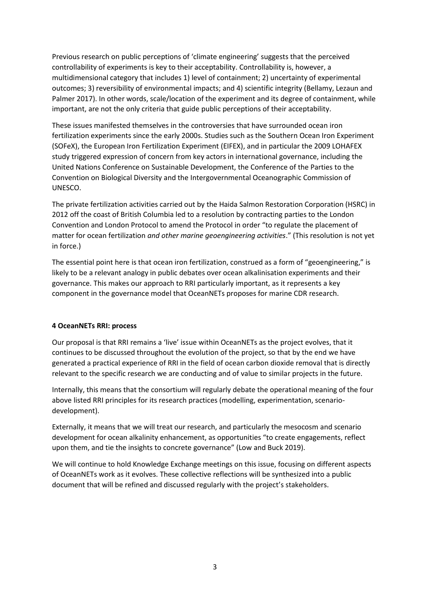Previous research on public perceptions of 'climate engineering' suggests that the perceived controllability of experiments is key to their acceptability. Controllability is, however, a multidimensional category that includes 1) level of containment; 2) uncertainty of experimental outcomes; 3) reversibility of environmental impacts; and 4) scientific integrity (Bellamy, Lezaun and Palmer 2017). In other words, scale/location of the experiment and its degree of containment, while important, are not the only criteria that guide public perceptions of their acceptability.

These issues manifested themselves in the controversies that have surrounded ocean iron fertilization experiments since the early 2000s. Studies such as the Southern Ocean Iron Experiment (SOFeX), the European Iron Fertilization Experiment (EIFEX), and in particular the 2009 LOHAFEX study triggered expression of concern from key actors in international governance, including the United Nations Conference on Sustainable Development, the Conference of the Parties to the Convention on Biological Diversity and the Intergovernmental Oceanographic Commission of UNESCO.

The private fertilization activities carried out by the Haida Salmon Restoration Corporation (HSRC) in 2012 off the coast of British Columbia led to a resolution by contracting parties to the London Convention and London Protocol to amend the Protocol in order "to regulate the placement of matter for ocean fertilization *and other marine geoengineering activities*." (This resolution is not yet in force.)

The essential point here is that ocean iron fertilization, construed as a form of "geoengineering," is likely to be a relevant analogy in public debates over ocean alkalinisation experiments and their governance. This makes our approach to RRI particularly important, as it represents a key component in the governance model that OceanNETs proposes for marine CDR research.

#### **4 OceanNETs RRI: process**

Our proposal is that RRI remains a 'live' issue within OceanNETs as the project evolves, that it continues to be discussed throughout the evolution of the project, so that by the end we have generated a practical experience of RRI in the field of ocean carbon dioxide removal that is directly relevant to the specific research we are conducting and of value to similar projects in the future.

Internally, this means that the consortium will regularly debate the operational meaning of the four above listed RRI principles for its research practices (modelling, experimentation, scenariodevelopment).

Externally, it means that we will treat our research, and particularly the mesocosm and scenario development for ocean alkalinity enhancement, as opportunities "to create engagements, reflect upon them, and tie the insights to concrete governance" (Low and Buck 2019).

We will continue to hold Knowledge Exchange meetings on this issue, focusing on different aspects of OceanNETs work as it evolves. These collective reflections will be synthesized into a public document that will be refined and discussed regularly with the project's stakeholders.